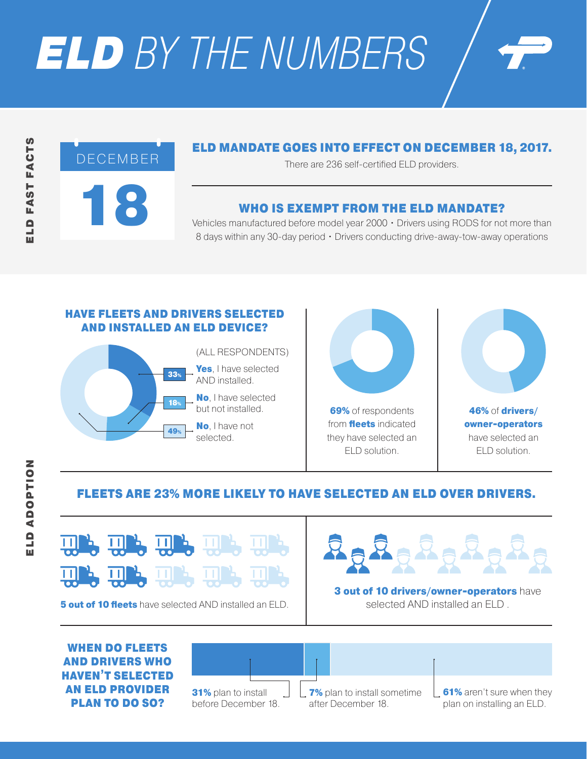# *ELD BY THE NUMBERS*

## $\mathbf{R}$ DECEMBER

## ELD MANDATE GOES INTO EFFECT ON DECEMBER 18, 2017.

There are 236 self-certified ELD providers.

## WHO IS EXEMPT FROM THE ELD MANDATE?

Vehicles manufactured before model year 2000 • Drivers using RODS for not more than 8 days within any 30-day period · Drivers conducting drive-away-tow-away operations

### HAVE FLEETS AND DRIVERS SELECTED AND INSTALLED AN ELD DEVICE? (ALL RESPONDENTS) Yes, I have selected AND installed. No, I have selected but not installed. No, I have not 33% 18% 49%

selected.



**69%** of respondents from **fleets** indicated they have selected an ELD solution.



46% of drivers/ owner-operators have selected an ELD solution.

## FLEETS ARE 23% MORE LIKELY TO HAVE SELECTED AN ELD OVER DRIVERS.



**5 out of 10 fleets** have selected AND installed an ELD.



**3 out of 10 drivers/owner-operators have** selected AND installed an ELD .

WHEN DO FLEETS AND DRIVERS WHO HAVEN'T SELECTED AN ELD PROVIDER PLAN TO DO SO?



**7%** plan to install sometime after December 18.

**61%** aren't sure when they plan on installing an ELD.